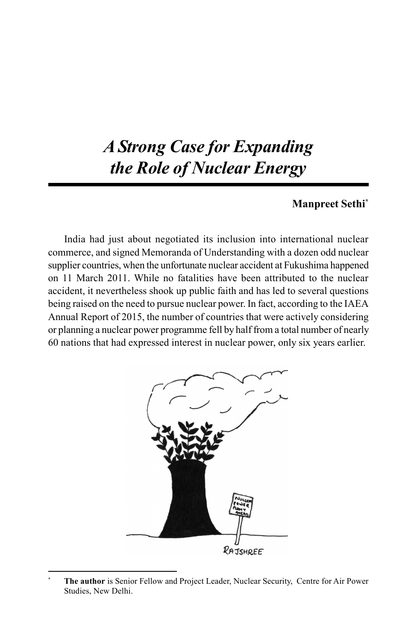# *A Strong Case for Expanding the Role of Nuclear Energy*

## **Manpreet Sethi\***

India had just about negotiated its inclusion into international nuclear commerce, and signed Memoranda of Understanding with a dozen odd nuclear supplier countries, when the unfortunate nuclear accident at Fukushima happened on 11 March 2011. While no fatalities have been attributed to the nuclear accident, it nevertheless shook up public faith and has led to several questions being raised on the need to pursue nuclear power. In fact, according to the IAEA Annual Report of 2015, the number of countries that were actively considering or planning a nuclear power programme fell by half from a total number of nearly 60 nations that had expressed interest in nuclear power, only six years earlier.



**<sup>\*</sup> The author** is Senior Fellow and Project Leader, Nuclear Security, Centre for Air Power Studies, New Delhi.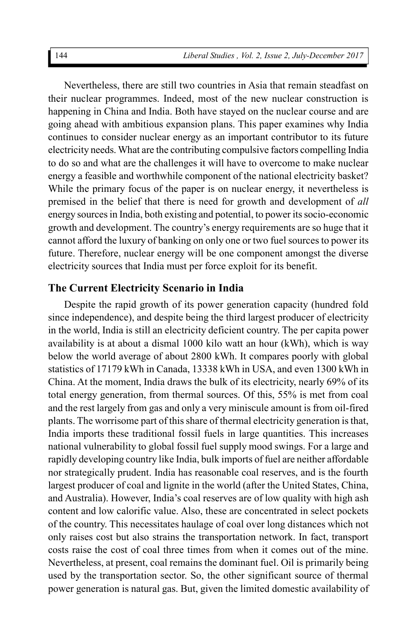Nevertheless, there are still two countries in Asia that remain steadfast on their nuclear programmes. Indeed, most of the new nuclear construction is happening in China and India. Both have stayed on the nuclear course and are going ahead with ambitious expansion plans. This paper examines why India continues to consider nuclear energy as an important contributor to its future electricity needs. What are the contributing compulsive factors compelling India to do so and what are the challenges it will have to overcome to make nuclear energy a feasible and worthwhile component of the national electricity basket? While the primary focus of the paper is on nuclear energy, it nevertheless is premised in the belief that there is need for growth and development of *all* energy sources in India, both existing and potential, to power its socio-economic growth and development. The country's energy requirements are so huge that it cannot afford the luxury of banking on only one or two fuel sources to power its future. Therefore, nuclear energy will be one component amongst the diverse electricity sources that India must per force exploit for its benefit.

#### **The Current Electricity Scenario in India**

Despite the rapid growth of its power generation capacity (hundred fold since independence), and despite being the third largest producer of electricity in the world, India is still an electricity deficient country. The per capita power availability is at about a dismal 1000 kilo watt an hour (kWh), which is way below the world average of about 2800 kWh. It compares poorly with global statistics of 17179 kWh in Canada, 13338 kWh in USA, and even 1300 kWh in China. At the moment, India draws the bulk of its electricity, nearly 69% of its total energy generation, from thermal sources. Of this, 55% is met from coal and the rest largely from gas and only a very miniscule amount is from oil-fired plants. The worrisome part of this share of thermal electricity generation is that, India imports these traditional fossil fuels in large quantities. This increases national vulnerability to global fossil fuel supply mood swings. For a large and rapidly developing country like India, bulk imports of fuel are neither affordable nor strategically prudent. India has reasonable coal reserves, and is the fourth largest producer of coal and lignite in the world (after the United States, China, and Australia). However, India's coal reserves are of low quality with high ash content and low calorific value. Also, these are concentrated in select pockets of the country. This necessitates haulage of coal over long distances which not only raises cost but also strains the transportation network. In fact, transport costs raise the cost of coal three times from when it comes out of the mine. Nevertheless, at present, coal remains the dominant fuel. Oil is primarily being used by the transportation sector. So, the other significant source of thermal power generation is natural gas. But, given the limited domestic availability of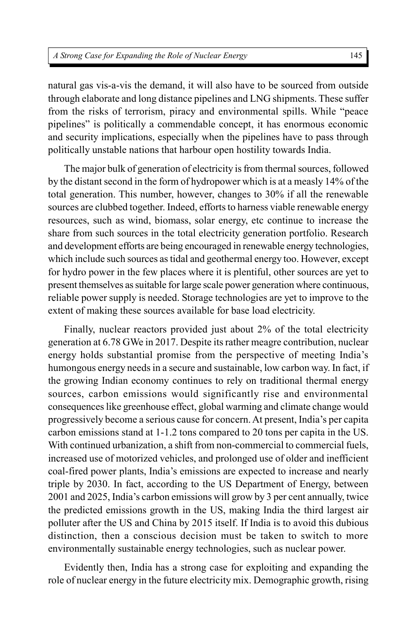natural gas vis-a-vis the demand, it will also have to be sourced from outside through elaborate and long distance pipelines and LNG shipments. These suffer from the risks of terrorism, piracy and environmental spills. While "peace pipelines" is politically a commendable concept, it has enormous economic and security implications, especially when the pipelines have to pass through politically unstable nations that harbour open hostility towards India.

The major bulk of generation of electricity is from thermal sources, followed by the distant second in the form of hydropower which is at a measly 14% of the total generation. This number, however, changes to 30% if all the renewable sources are clubbed together. Indeed, efforts to harness viable renewable energy resources, such as wind, biomass, solar energy, etc continue to increase the share from such sources in the total electricity generation portfolio. Research and development efforts are being encouraged in renewable energy technologies, which include such sources as tidal and geothermal energy too. However, except for hydro power in the few places where it is plentiful, other sources are yet to present themselves as suitable for large scale power generation where continuous, reliable power supply is needed. Storage technologies are yet to improve to the extent of making these sources available for base load electricity.

Finally, nuclear reactors provided just about 2% of the total electricity generation at 6.78 GWe in 2017. Despite its rather meagre contribution, nuclear energy holds substantial promise from the perspective of meeting India's humongous energy needs in a secure and sustainable, low carbon way. In fact, if the growing Indian economy continues to rely on traditional thermal energy sources, carbon emissions would significantly rise and environmental consequences like greenhouse effect, global warming and climate change would progressively become a serious cause for concern. At present, India's per capita carbon emissions stand at 1-1.2 tons compared to 20 tons per capita in the US. With continued urbanization, a shift from non-commercial to commercial fuels, increased use of motorized vehicles, and prolonged use of older and inefficient coal-fired power plants, India's emissions are expected to increase and nearly triple by 2030. In fact, according to the US Department of Energy, between 2001 and 2025, India's carbon emissions will grow by 3 per cent annually, twice the predicted emissions growth in the US, making India the third largest air polluter after the US and China by 2015 itself. If India is to avoid this dubious distinction, then a conscious decision must be taken to switch to more environmentally sustainable energy technologies, such as nuclear power.

Evidently then, India has a strong case for exploiting and expanding the role of nuclear energy in the future electricity mix. Demographic growth, rising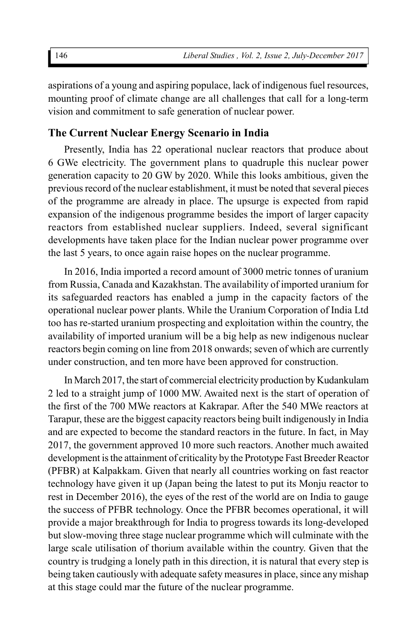aspirations of a young and aspiring populace, lack of indigenous fuel resources, mounting proof of climate change are all challenges that call for a long-term vision and commitment to safe generation of nuclear power.

## **The Current Nuclear Energy Scenario in India**

Presently, India has 22 operational nuclear reactors that produce about 6 GWe electricity. The government plans to quadruple this nuclear power generation capacity to 20 GW by 2020. While this looks ambitious, given the previous record of the nuclear establishment, it must be noted that several pieces of the programme are already in place. The upsurge is expected from rapid expansion of the indigenous programme besides the import of larger capacity reactors from established nuclear suppliers. Indeed, several significant developments have taken place for the Indian nuclear power programme over the last 5 years, to once again raise hopes on the nuclear programme.

In 2016, India imported a record amount of 3000 metric tonnes of uranium from Russia, Canada and Kazakhstan. The availability of imported uranium for its safeguarded reactors has enabled a jump in the capacity factors of the operational nuclear power plants. While the Uranium Corporation of India Ltd too has re-started uranium prospecting and exploitation within the country, the availability of imported uranium will be a big help as new indigenous nuclear reactors begin coming on line from 2018 onwards; seven of which are currently under construction, and ten more have been approved for construction.

In March 2017, the start of commercial electricity production by Kudankulam 2 led to a straight jump of 1000 MW. Awaited next is the start of operation of the first of the 700 MWe reactors at Kakrapar. After the 540 MWe reactors at Tarapur, these are the biggest capacity reactors being built indigenously in India and are expected to become the standard reactors in the future. In fact, in May 2017, the government approved 10 more such reactors. Another much awaited development is the attainment of criticality by the Prototype Fast Breeder Reactor (PFBR) at Kalpakkam. Given that nearly all countries working on fast reactor technology have given it up (Japan being the latest to put its Monju reactor to rest in December 2016), the eyes of the rest of the world are on India to gauge the success of PFBR technology. Once the PFBR becomes operational, it will provide a major breakthrough for India to progress towards its long-developed but slow-moving three stage nuclear programme which will culminate with the large scale utilisation of thorium available within the country. Given that the country is trudging a lonely path in this direction, it is natural that every step is being taken cautiously with adequate safety measures in place, since any mishap at this stage could mar the future of the nuclear programme.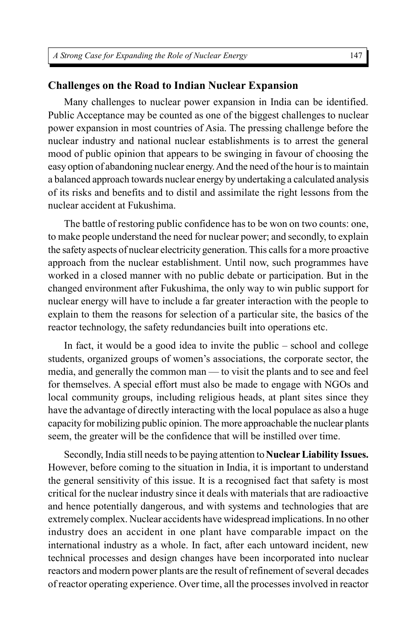### **Challenges on the Road to Indian Nuclear Expansion**

Many challenges to nuclear power expansion in India can be identified. Public Acceptance may be counted as one of the biggest challenges to nuclear power expansion in most countries of Asia. The pressing challenge before the nuclear industry and national nuclear establishments is to arrest the general mood of public opinion that appears to be swinging in favour of choosing the easy option of abandoning nuclear energy. And the need of the hour is to maintain a balanced approach towards nuclear energy by undertaking a calculated analysis of its risks and benefits and to distil and assimilate the right lessons from the nuclear accident at Fukushima.

The battle of restoring public confidence has to be won on two counts: one, to make people understand the need for nuclear power; and secondly, to explain the safety aspects of nuclear electricity generation. This calls for a more proactive approach from the nuclear establishment. Until now, such programmes have worked in a closed manner with no public debate or participation. But in the changed environment after Fukushima, the only way to win public support for nuclear energy will have to include a far greater interaction with the people to explain to them the reasons for selection of a particular site, the basics of the reactor technology, the safety redundancies built into operations etc.

In fact, it would be a good idea to invite the public – school and college students, organized groups of women's associations, the corporate sector, the media, and generally the common man — to visit the plants and to see and feel for themselves. A special effort must also be made to engage with NGOs and local community groups, including religious heads, at plant sites since they have the advantage of directly interacting with the local populace as also a huge capacity for mobilizing public opinion. The more approachable the nuclear plants seem, the greater will be the confidence that will be instilled over time.

Secondly, India still needs to be paying attention to**Nuclear Liability Issues.** However, before coming to the situation in India, it is important to understand the general sensitivity of this issue. It is a recognised fact that safety is most critical for the nuclear industry since it deals with materials that are radioactive and hence potentially dangerous, and with systems and technologies that are extremely complex. Nuclear accidents have widespread implications. In no other industry does an accident in one plant have comparable impact on the international industry as a whole. In fact, after each untoward incident, new technical processes and design changes have been incorporated into nuclear reactors and modern power plants are the result of refinement of several decades of reactor operating experience. Over time, all the processes involved in reactor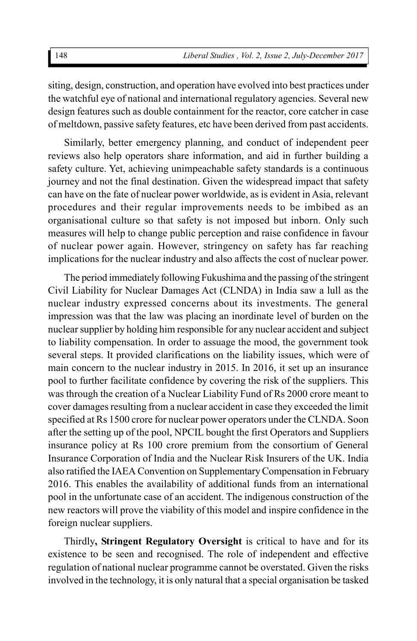siting, design, construction, and operation have evolved into best practices under the watchful eye of national and international regulatory agencies. Several new design features such as double containment for the reactor, core catcher in case of meltdown, passive safety features, etc have been derived from past accidents.

Similarly, better emergency planning, and conduct of independent peer reviews also help operators share information, and aid in further building a safety culture. Yet, achieving unimpeachable safety standards is a continuous journey and not the final destination. Given the widespread impact that safety can have on the fate of nuclear power worldwide, as is evident in Asia, relevant procedures and their regular improvements needs to be imbibed as an organisational culture so that safety is not imposed but inborn. Only such measures will help to change public perception and raise confidence in favour of nuclear power again. However, stringency on safety has far reaching implications for the nuclear industry and also affects the cost of nuclear power.

The period immediately following Fukushima and the passing of the stringent Civil Liability for Nuclear Damages Act (CLNDA) in India saw a lull as the nuclear industry expressed concerns about its investments. The general impression was that the law was placing an inordinate level of burden on the nuclear supplier by holding him responsible for any nuclear accident and subject to liability compensation. In order to assuage the mood, the government took several steps. It provided clarifications on the liability issues, which were of main concern to the nuclear industry in 2015. In 2016, it set up an insurance pool to further facilitate confidence by covering the risk of the suppliers. This was through the creation of a Nuclear Liability Fund of Rs 2000 crore meant to cover damages resulting from a nuclear accident in case they exceeded the limit specified at Rs 1500 crore for nuclear power operators under the CLNDA. Soon after the setting up of the pool, NPCIL bought the first Operators and Suppliers insurance policy at Rs 100 crore premium from the consortium of General Insurance Corporation of India and the Nuclear Risk Insurers of the UK. India also ratified the IAEA Convention on Supplementary Compensation in February 2016. This enables the availability of additional funds from an international pool in the unfortunate case of an accident. The indigenous construction of the new reactors will prove the viability of this model and inspire confidence in the foreign nuclear suppliers.

Thirdly**, Stringent Regulatory Oversight** is critical to have and for its existence to be seen and recognised. The role of independent and effective regulation of national nuclear programme cannot be overstated. Given the risks involved in the technology, it is only natural that a special organisation be tasked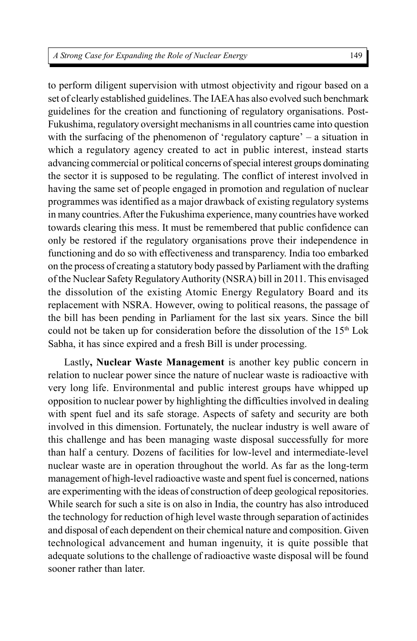to perform diligent supervision with utmost objectivity and rigour based on a set of clearly established guidelines. The IAEA has also evolved such benchmark guidelines for the creation and functioning of regulatory organisations. Post-Fukushima, regulatory oversight mechanisms in all countries came into question with the surfacing of the phenomenon of 'regulatory capture' – a situation in which a regulatory agency created to act in public interest, instead starts advancing commercial or political concerns of special interest groups dominating the sector it is supposed to be regulating. The conflict of interest involved in having the same set of people engaged in promotion and regulation of nuclear programmes was identified as a major drawback of existing regulatory systems in many countries. After the Fukushima experience, many countries have worked towards clearing this mess. It must be remembered that public confidence can only be restored if the regulatory organisations prove their independence in functioning and do so with effectiveness and transparency. India too embarked on the process of creating a statutory body passed by Parliament with the drafting of the Nuclear Safety Regulatory Authority (NSRA) bill in 2011. This envisaged the dissolution of the existing Atomic Energy Regulatory Board and its replacement with NSRA. However, owing to political reasons, the passage of the bill has been pending in Parliament for the last six years. Since the bill could not be taken up for consideration before the dissolution of the 15<sup>th</sup> Lok Sabha, it has since expired and a fresh Bill is under processing.

Lastly**, Nuclear Waste Management** is another key public concern in relation to nuclear power since the nature of nuclear waste is radioactive with very long life. Environmental and public interest groups have whipped up opposition to nuclear power by highlighting the difficulties involved in dealing with spent fuel and its safe storage. Aspects of safety and security are both involved in this dimension. Fortunately, the nuclear industry is well aware of this challenge and has been managing waste disposal successfully for more than half a century. Dozens of facilities for low-level and intermediate-level nuclear waste are in operation throughout the world. As far as the long-term management of high-level radioactive waste and spent fuel is concerned, nations are experimenting with the ideas of construction of deep geological repositories. While search for such a site is on also in India, the country has also introduced the technology for reduction of high level waste through separation of actinides and disposal of each dependent on their chemical nature and composition. Given technological advancement and human ingenuity, it is quite possible that adequate solutions to the challenge of radioactive waste disposal will be found sooner rather than later.